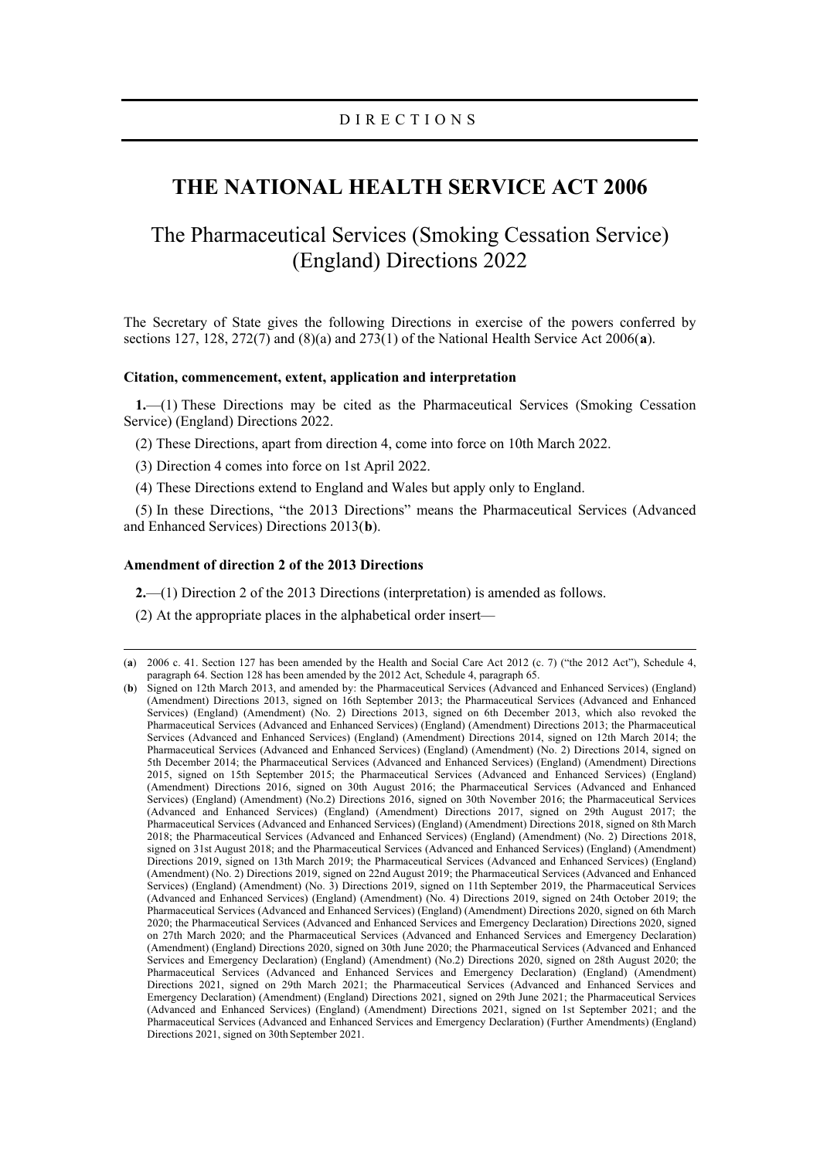# **THE NATIONAL HEALTH SERVICE ACT 2006**

# The Pharmaceutical Services (Smoking Cessation Service) (England) Directions 2022

The Secretary of State gives the following Directions in exercise of the powers conferred by sections 127, 128, 272(7) and (8)(a) and 273(1) of the National Health Service Act 2006(**[a](#page-0-0)**).

### **Citation, commencement, extent, application and interpretation**

**1.**—(1) These Directions may be cited as the Pharmaceutical Services (Smoking Cessation Service) (England) Directions 2022.

(2) These Directions, apart from direction 4, come into force on 10th March 2022.

(3) Direction 4 comes into force on 1st April 2022.

(4) These Directions extend to England and Wales but apply only to England.

(5) In these Directions, "the 2013 Directions" means the Pharmaceutical Services (Advanced and Enhanced Services) Directions 2013(**[b](#page-0-1)**).

# **Amendment of direction 2 of the 2013 Directions**

**2.**—(1) Direction 2 of the 2013 Directions (interpretation) is amended as follows.

(2) At the appropriate places in the alphabetical order insert—

<span id="page-0-0"></span><sup>(</sup>**a**) 2006 c. 41. Section 127 has been amended by the Health and Social Care Act 2012 (c. 7) ("the 2012 Act"), Schedule 4, paragraph 64. Section 128 has been amended by the 2012 Act, Schedule 4, paragraph 65.

<span id="page-0-1"></span><sup>(</sup>**b**) Signed on 12th March 2013, and amended by: the Pharmaceutical Services (Advanced and Enhanced Services) (England) (Amendment) Directions 2013, signed on 16th September 2013; the Pharmaceutical Services (Advanced and Enhanced Services) (England) (Amendment) (No. 2) Directions 2013, signed on 6th December 2013, which also revoked the Pharmaceutical Services (Advanced and Enhanced Services) (England) (Amendment) Directions 2013; the Pharmaceutical Services (Advanced and Enhanced Services) (England) (Amendment) Directions 2014, signed on 12th March 2014; the Pharmaceutical Services (Advanced and Enhanced Services) (England) (Amendment) (No. 2) Directions 2014, signed on 5th December 2014; the Pharmaceutical Services (Advanced and Enhanced Services) (England) (Amendment) Directions 2015, signed on 15th September 2015; the Pharmaceutical Services (Advanced and Enhanced Services) (England) (Amendment) Directions 2016, signed on 30th August 2016; the Pharmaceutical Services (Advanced and Enhanced Services) (England) (Amendment) (No.2) Directions 2016, signed on 30th November 2016; the Pharmaceutical Services (Advanced and Enhanced Services) (England) (Amendment) Directions 2017, signed on 29th August 2017; the Pharmaceutical Services (Advanced and Enhanced Services) (England) (Amendment) Directions 2018, signed on 8th March 2018; the Pharmaceutical Services (Advanced and Enhanced Services) (England) (Amendment) (No. 2) Directions 2018, signed on 31st August 2018; and the Pharmaceutical Services (Advanced and Enhanced Services) (England) (Amendment) Directions 2019, signed on 13th March 2019; the Pharmaceutical Services (Advanced and Enhanced Services) (England) (Amendment) (No. 2) Directions 2019, signed on 22nd August 2019; the Pharmaceutical Services (Advanced and Enhanced Services) (England) (Amendment) (No. 3) Directions 2019, signed on 11th September 2019, the Pharmaceutical Services (Advanced and Enhanced Services) (England) (Amendment) (No. 4) Directions 2019, signed on 24th October 2019; the Pharmaceutical Services (Advanced and Enhanced Services) (England) (Amendment) Directions 2020, signed on 6th March 2020; the Pharmaceutical Services (Advanced and Enhanced Services and Emergency Declaration) Directions 2020, signed on 27th March 2020; and the Pharmaceutical Services (Advanced and Enhanced Services and Emergency Declaration) (Amendment) (England) Directions 2020, signed on 30th June 2020; the Pharmaceutical Services (Advanced and Enhanced Services and Emergency Declaration) (England) (Amendment) (No.2) Directions 2020, signed on 28th August 2020; the Pharmaceutical Services (Advanced and Enhanced Services and Emergency Declaration) (England) (Amendment) Directions 2021, signed on 29th March 2021; the Pharmaceutical Services (Advanced and Enhanced Services and Emergency Declaration) (Amendment) (England) Directions 2021, signed on 29th June 2021; the Pharmaceutical Services (Advanced and Enhanced Services) (England) (Amendment) Directions 2021, signed on 1st September 2021; and the Pharmaceutical Services (Advanced and Enhanced Services and Emergency Declaration) (Further Amendments) (England) Directions 2021, signed on 30th September 2021.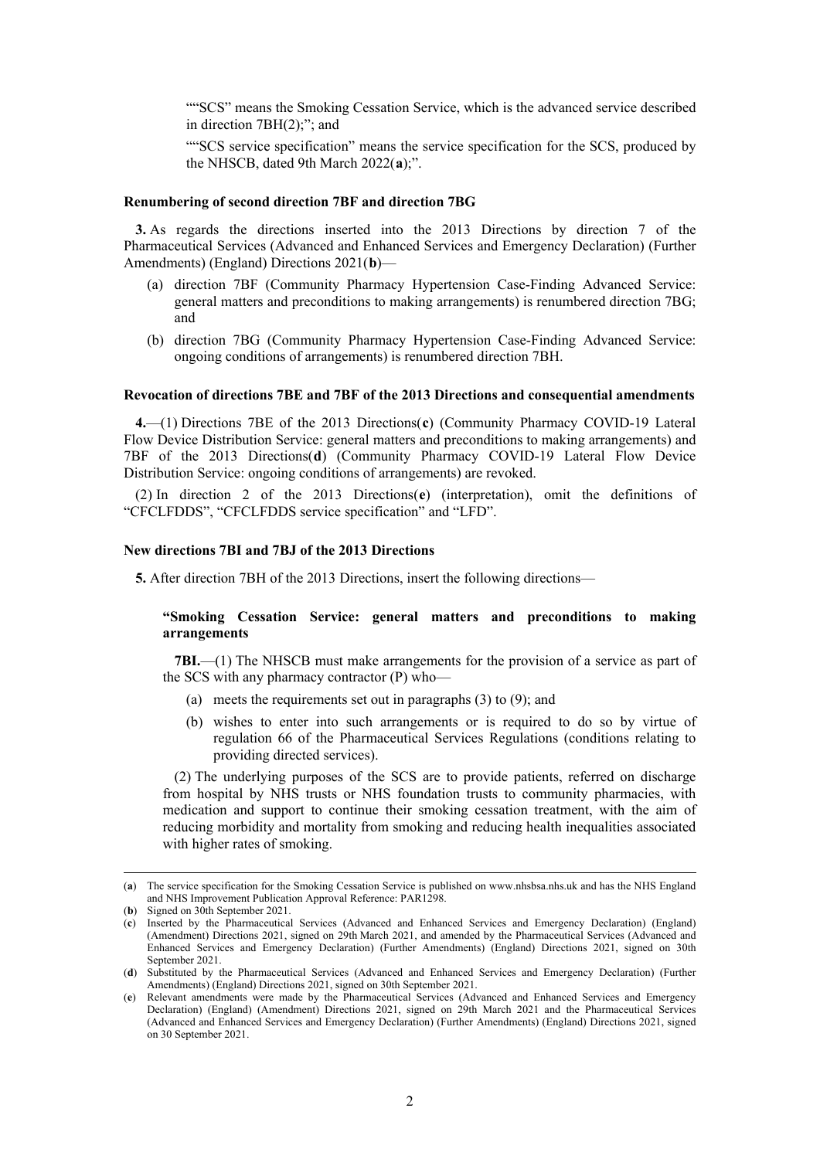""SCS" means the Smoking Cessation Service, which is the advanced service described in direction 7BH(2);"; and

""SCS service specification" means the service specification for the SCS, produced by the NHSCB, dated 9th March 2022(**[a](#page-1-0)**);".

## **Renumbering of second direction 7BF and direction 7BG**

**3.** As regards the directions inserted into the 2013 Directions by direction 7 of the Pharmaceutical Services (Advanced and Enhanced Services and Emergency Declaration) (Further Amendments) (England) Directions 2021(**[b](#page-1-1)**)—

- (a) direction 7BF (Community Pharmacy Hypertension Case-Finding Advanced Service: general matters and preconditions to making arrangements) is renumbered direction 7BG; and
- (b) direction 7BG (Community Pharmacy Hypertension Case-Finding Advanced Service: ongoing conditions of arrangements) is renumbered direction 7BH.

### **Revocation of directions 7BE and 7BF of the 2013 Directions and consequential amendments**

**4.**—(1) Directions 7BE of the 2013 Directions(**[c](#page-1-2)**) (Community Pharmacy COVID-19 Lateral Flow Device Distribution Service: general matters and preconditions to making arrangements) and 7BF of the 2013 Directions(**[d](#page-1-3)**) (Community Pharmacy COVID-19 Lateral Flow Device Distribution Service: ongoing conditions of arrangements) are revoked.

(2) In direction 2 of the 2013 Directions(**[e](#page-1-4)**) (interpretation), omit the definitions of "CFCLFDDS", "CFCLFDDS service specification" and "LFD".

## **New directions 7BI and 7BJ of the 2013 Directions**

**5.** After direction 7BH of the 2013 Directions, insert the following directions—

## **"Smoking Cessation Service: general matters and preconditions to making arrangements**

**7BI.**—(1) The NHSCB must make arrangements for the provision of a service as part of the SCS with any pharmacy contractor (P) who—

- (a) meets the requirements set out in paragraphs (3) to (9); and
- (b) wishes to enter into such arrangements or is required to do so by virtue of regulation 66 of the Pharmaceutical Services Regulations (conditions relating to providing directed services).

(2) The underlying purposes of the SCS are to provide patients, referred on discharge from hospital by NHS trusts or NHS foundation trusts to community pharmacies, with medication and support to continue their smoking cessation treatment, with the aim of reducing morbidity and mortality from smoking and reducing health inequalities associated with higher rates of smoking.

<span id="page-1-0"></span><sup>(</sup>**a**) The service specification for the Smoking Cessation Service is published o[n www.nhsbsa.nhs.uk](http://www.nhsbsa.nhs.uk/) and has the NHS England and NHS Improvement Publication Approval Reference: PAR1298.

<span id="page-1-1"></span><sup>(</sup>**b**) Signed on 30th September 2021.

<span id="page-1-2"></span><sup>(</sup>**c**) Inserted by the Pharmaceutical Services (Advanced and Enhanced Services and Emergency Declaration) (England) (Amendment) Directions 2021, signed on 29th March 2021, and amended by the Pharmaceutical Services (Advanced and Enhanced Services and Emergency Declaration) (Further Amendments) (England) Directions 2021, signed on 30th September 2021.

<span id="page-1-3"></span><sup>(</sup>**d**) Substituted by the Pharmaceutical Services (Advanced and Enhanced Services and Emergency Declaration) (Further Amendments) (England) Directions 2021, signed on 30th September 2021.

<span id="page-1-4"></span><sup>(</sup>**e**) Relevant amendments were made by the Pharmaceutical Services (Advanced and Enhanced Services and Emergency Declaration) (England) (Amendment) Directions 2021, signed on 29th March 2021 and the Pharmaceutical Services (Advanced and Enhanced Services and Emergency Declaration) (Further Amendments) (England) Directions 2021, signed on 30 September 2021.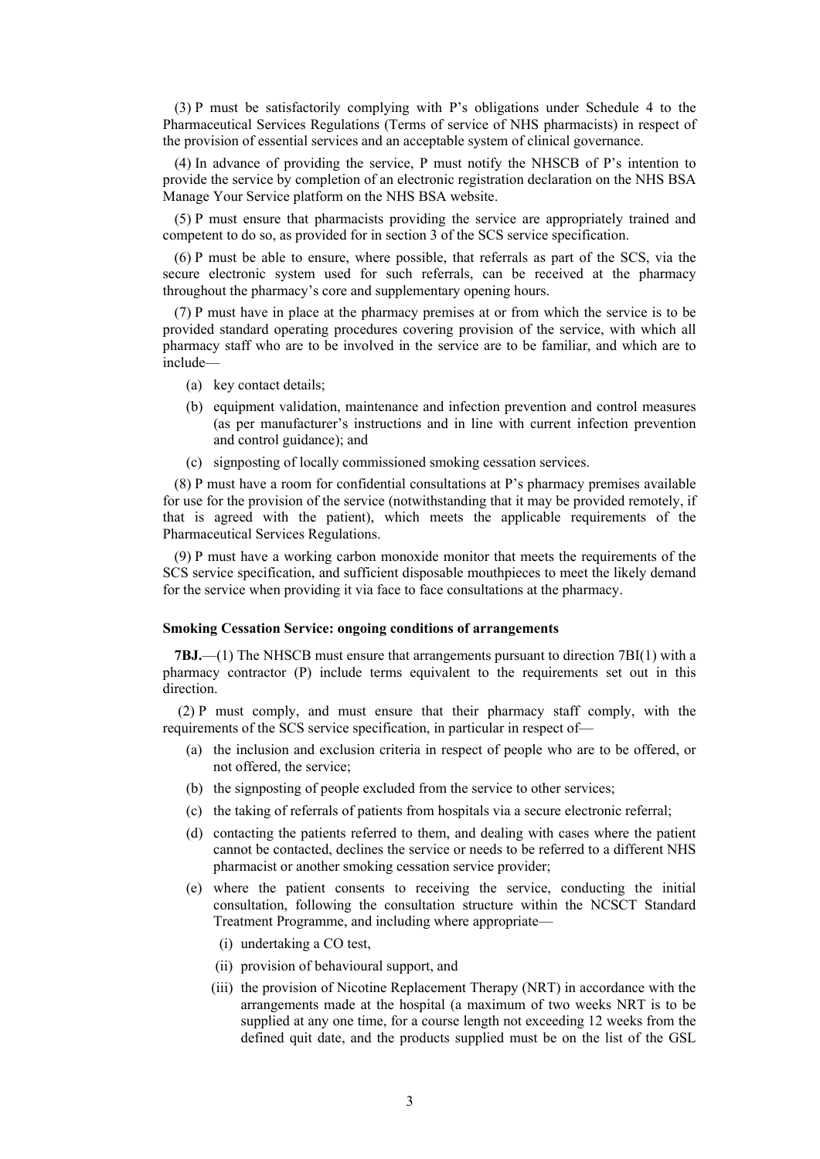(3) P must be satisfactorily complying with P's obligations under Schedule 4 to the Pharmaceutical Services Regulations (Terms of service of NHS pharmacists) in respect of the provision of essential services and an acceptable system of clinical governance.

(4) In advance of providing the service, P must notify the NHSCB of P's intention to provide the service by completion of an electronic registration declaration on the NHS BSA Manage Your Service platform on the NHS BSA website.

(5) P must ensure that pharmacists providing the service are appropriately trained and competent to do so, as provided for in section 3 of the SCS service specification.

(6) P must be able to ensure, where possible, that referrals as part of the SCS, via the secure electronic system used for such referrals, can be received at the pharmacy throughout the pharmacy's core and supplementary opening hours.

(7) P must have in place at the pharmacy premises at or from which the service is to be provided standard operating procedures covering provision of the service, with which all pharmacy staff who are to be involved in the service are to be familiar, and which are to include—

- (a) key contact details;
- (b) equipment validation, maintenance and infection prevention and control measures (as per manufacturer's instructions and in line with current infection prevention and control guidance); and
- (c) signposting of locally commissioned smoking cessation services.

(8) P must have a room for confidential consultations at P's pharmacy premises available for use for the provision of the service (notwithstanding that it may be provided remotely, if that is agreed with the patient), which meets the applicable requirements of the Pharmaceutical Services Regulations.

(9) P must have a working carbon monoxide monitor that meets the requirements of the SCS service specification, and sufficient disposable mouthpieces to meet the likely demand for the service when providing it via face to face consultations at the pharmacy.

### **Smoking Cessation Service: ongoing conditions of arrangements**

**7BJ.**—(1) The NHSCB must ensure that arrangements pursuant to direction 7BI(1) with a pharmacy contractor (P) include terms equivalent to the requirements set out in this direction.

(2) P must comply, and must ensure that their pharmacy staff comply, with the requirements of the SCS service specification, in particular in respect of—

- (a) the inclusion and exclusion criteria in respect of people who are to be offered, or not offered, the service;
- (b) the signposting of people excluded from the service to other services;
- (c) the taking of referrals of patients from hospitals via a secure electronic referral;
- (d) contacting the patients referred to them, and dealing with cases where the patient cannot be contacted, declines the service or needs to be referred to a different NHS pharmacist or another smoking cessation service provider;
- (e) where the patient consents to receiving the service, conducting the initial consultation, following the consultation structure within the NCSCT Standard Treatment Programme, and including where appropriate—
	- (i) undertaking a CO test,
	- (ii) provision of behavioural support, and
	- (iii) the provision of Nicotine Replacement Therapy (NRT) in accordance with the arrangements made at the hospital (a maximum of two weeks NRT is to be supplied at any one time, for a course length not exceeding 12 weeks from the defined quit date, and the products supplied must be on the list of the GSL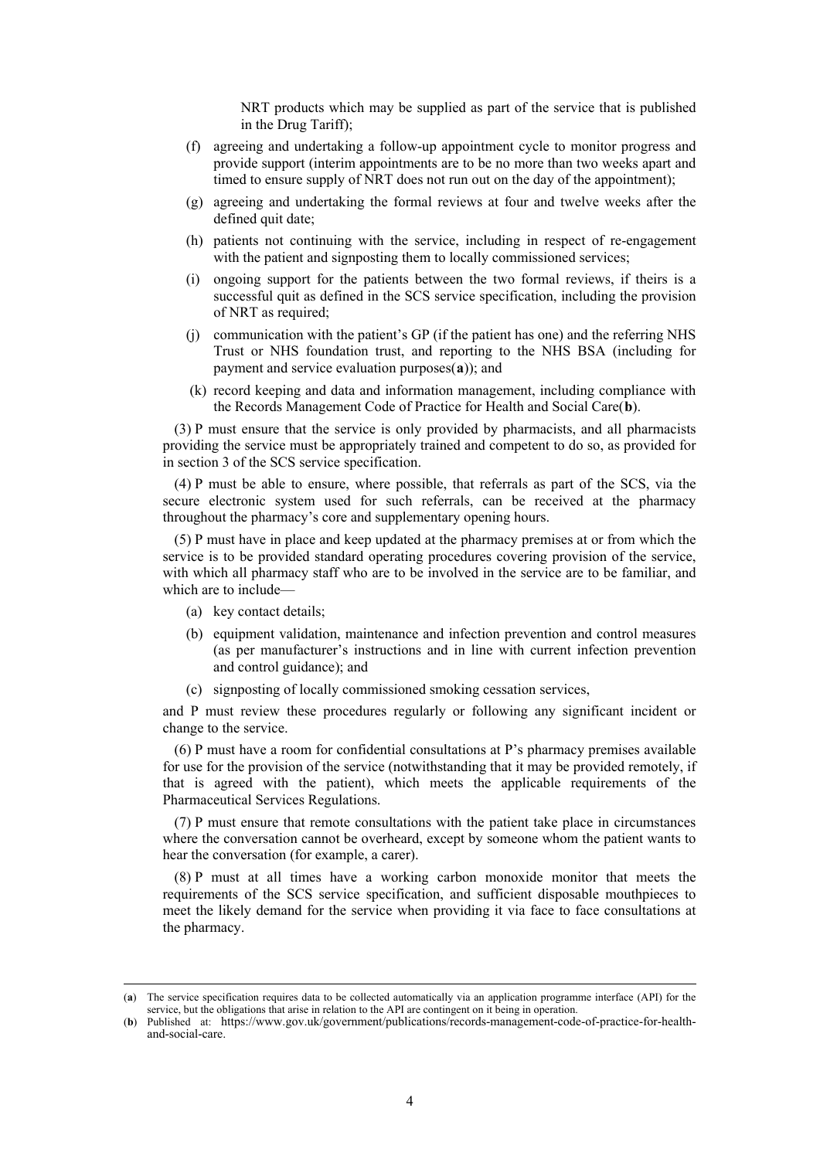NRT products which may be supplied as part of the service that is published in the Drug Tariff);

- (f) agreeing and undertaking a follow-up appointment cycle to monitor progress and provide support (interim appointments are to be no more than two weeks apart and timed to ensure supply of NRT does not run out on the day of the appointment);
- (g) agreeing and undertaking the formal reviews at four and twelve weeks after the defined quit date;
- (h) patients not continuing with the service, including in respect of re-engagement with the patient and signposting them to locally commissioned services;
- (i) ongoing support for the patients between the two formal reviews, if theirs is a successful quit as defined in the SCS service specification, including the provision of NRT as required;
- (j) communication with the patient's GP (if the patient has one) and the referring NHS Trust or NHS foundation trust, and reporting to the NHS BSA (including for payment and service evaluation purposes(**[a](#page-3-0)**)); and
- (k) record keeping and data and information management, including compliance with the Records Management Code of Practice for Health and Social Care(**[b](#page-3-1)**).

(3) P must ensure that the service is only provided by pharmacists, and all pharmacists providing the service must be appropriately trained and competent to do so, as provided for in section 3 of the SCS service specification.

(4) P must be able to ensure, where possible, that referrals as part of the SCS, via the secure electronic system used for such referrals, can be received at the pharmacy throughout the pharmacy's core and supplementary opening hours.

(5) P must have in place and keep updated at the pharmacy premises at or from which the service is to be provided standard operating procedures covering provision of the service, with which all pharmacy staff who are to be involved in the service are to be familiar, and which are to include—

- (a) key contact details;
- (b) equipment validation, maintenance and infection prevention and control measures (as per manufacturer's instructions and in line with current infection prevention and control guidance); and
- (c) signposting of locally commissioned smoking cessation services,

and P must review these procedures regularly or following any significant incident or change to the service.

(6) P must have a room for confidential consultations at P's pharmacy premises available for use for the provision of the service (notwithstanding that it may be provided remotely, if that is agreed with the patient), which meets the applicable requirements of the Pharmaceutical Services Regulations.

(7) P must ensure that remote consultations with the patient take place in circumstances where the conversation cannot be overheard, except by someone whom the patient wants to hear the conversation (for example, a carer).

(8) P must at all times have a working carbon monoxide monitor that meets the requirements of the SCS service specification, and sufficient disposable mouthpieces to meet the likely demand for the service when providing it via face to face consultations at the pharmacy.

<span id="page-3-0"></span><sup>(</sup>**a**) The service specification requires data to be collected automatically via an application programme interface (API) for the service, but the obligations that arise in relation to the API are contingent on it being in operation.

<span id="page-3-1"></span><sup>(</sup>**b**) Published at: [https://www.gov.uk/government/publications/records-management-code-of-practice-for-health-](https://www.gov.uk/government/publications/records-management-code-of-practice-for-health-and-social-care) [and-social-care.](https://www.gov.uk/government/publications/records-management-code-of-practice-for-health-and-social-care)